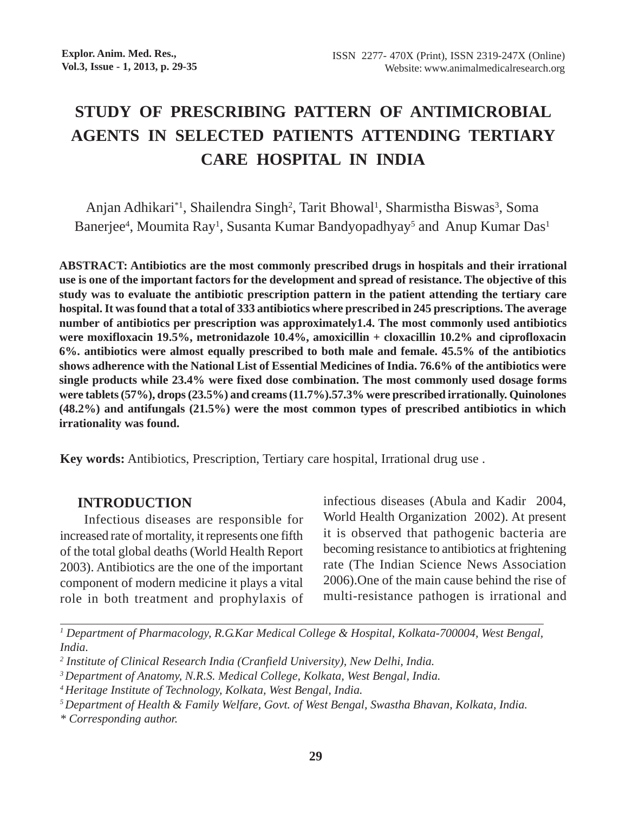# **STUDY OF PRESCRIBING PATTERN OF ANTIMICROBIAL AGENTS IN SELECTED PATIENTS ATTENDING TERTIARY CARE HOSPITAL IN INDIA**

Anjan Adhikari\*<sup>1</sup>, Shailendra Singh<sup>2</sup>, Tarit Bhowal<sup>1</sup>, Sharmistha Biswas<sup>3</sup>, Soma Banerjee<sup>4</sup>, Moumita Ray<sup>1</sup>, Susanta Kumar Bandyopadhyay<sup>5</sup> and Anup Kumar Das<sup>1</sup>

**ABSTRACT: Antibiotics are the most commonly prescribed drugs in hospitals and their irrational use is one of the important factors for the development and spread of resistance. The objective of this study was to evaluate the antibiotic prescription pattern in the patient attending the tertiary care hospital. It was found that a total of 333 antibiotics where prescribed in 245 prescriptions. The average number of antibiotics per prescription was approximately1.4. The most commonly used antibiotics were moxifloxacin 19.5%, metronidazole 10.4%, amoxicillin + cloxacillin 10.2% and ciprofloxacin 6%. antibiotics were almost equally prescribed to both male and female. 45.5% of the antibiotics shows adherence with the National List of Essential Medicines of India. 76.6% of the antibiotics were single products while 23.4% were fixed dose combination. The most commonly used dosage forms were tablets (57%), drops (23.5%) and creams (11.7%).57.3% were prescribed irrationally. Quinolones (48.2%) and antifungals (21.5%) were the most common types of prescribed antibiotics in which irrationality was found.**

**Key words:** Antibiotics, Prescription, Tertiary care hospital, Irrational drug use .

### **INTRODUCTION**

 Infectious diseases are responsible for increased rate of mortality, it represents one fifth of the total global deaths (World Health Report 2003). Antibiotics are the one of the important component of modern medicine it plays a vital role in both treatment and prophylaxis of infectious diseases (Abula and Kadir 2004, World Health Organization 2002). At present it is observed that pathogenic bacteria are becoming resistance to antibiotics at frightening rate (The Indian Science News Association 2006).One of the main cause behind the rise of multi-resistance pathogen is irrational and

*1 Department of Pharmacology, R.G.Kar Medical College & Hospital, Kolkata-700004, West Bengal, India.*

*\* Corresponding author.*

*<sup>2</sup> Institute of Clinical Research India (Cranfield University), New Delhi, India.*

*<sup>3</sup> Department of Anatomy, N.R.S. Medical College, Kolkata, West Bengal, India.*

*<sup>4</sup> Heritage Institute of Technology, Kolkata, West Bengal, India.*

*<sup>5</sup> Department of Health & Family Welfare, Govt. of West Bengal, Swastha Bhavan, Kolkata, India.*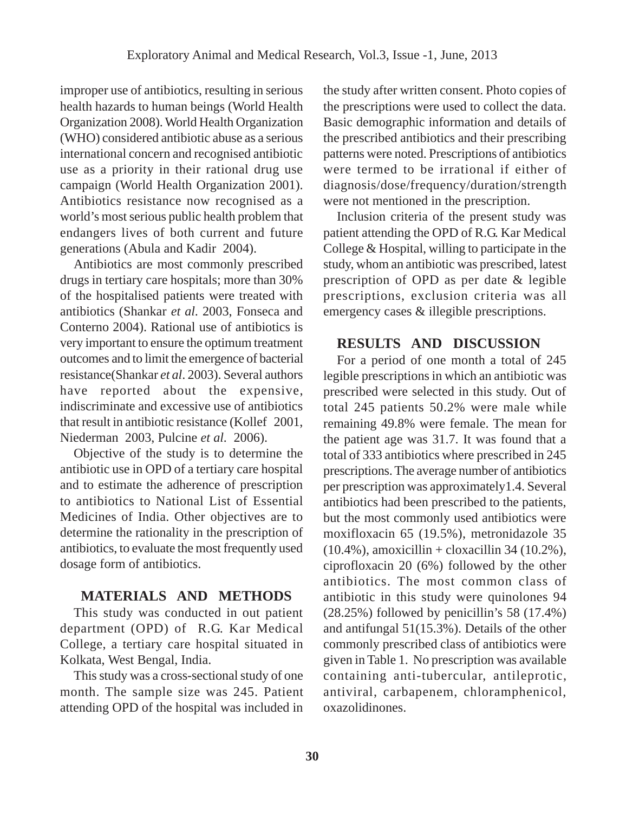improper use of antibiotics, resulting in serious health hazards to human beings (World Health Organization 2008). World Health Organization (WHO) considered antibiotic abuse as a serious international concern and recognised antibiotic use as a priority in their rational drug use campaign (World Health Organization 2001). Antibiotics resistance now recognised as a world's most serious public health problem that endangers lives of both current and future generations (Abula and Kadir 2004).

Antibiotics are most commonly prescribed drugs in tertiary care hospitals; more than 30% of the hospitalised patients were treated with antibiotics (Shankar *et al*. 2003, Fonseca and Conterno 2004). Rational use of antibiotics is very important to ensure the optimum treatment outcomes and to limit the emergence of bacterial resistance(Shankar *et al*. 2003). Several authors have reported about the expensive, indiscriminate and excessive use of antibiotics that result in antibiotic resistance (Kollef 2001, Niederman 2003, Pulcine *et al.* 2006).

Objective of the study is to determine the antibiotic use in OPD of a tertiary care hospital and to estimate the adherence of prescription to antibiotics to National List of Essential Medicines of India. Other objectives are to determine the rationality in the prescription of antibiotics, to evaluate the most frequently used dosage form of antibiotics.

## **MATERIALS AND METHODS**

This study was conducted in out patient department (OPD) of R.G. Kar Medical College, a tertiary care hospital situated in Kolkata, West Bengal, India.

This study was a cross-sectional study of one month. The sample size was 245. Patient attending OPD of the hospital was included in the study after written consent. Photo copies of the prescriptions were used to collect the data. Basic demographic information and details of the prescribed antibiotics and their prescribing patterns were noted. Prescriptions of antibiotics were termed to be irrational if either of diagnosis/dose/frequency/duration/strength were not mentioned in the prescription.

Inclusion criteria of the present study was patient attending the OPD of R.G. Kar Medical College & Hospital, willing to participate in the study, whom an antibiotic was prescribed, latest prescription of OPD as per date & legible prescriptions, exclusion criteria was all emergency cases & illegible prescriptions.

# **RESULTS AND DISCUSSION**

For a period of one month a total of 245 legible prescriptions in which an antibiotic was prescribed were selected in this study. Out of total 245 patients 50.2% were male while remaining 49.8% were female. The mean for the patient age was 31.7. It was found that a total of 333 antibiotics where prescribed in 245 prescriptions. The average number of antibiotics per prescription was approximately1.4. Several antibiotics had been prescribed to the patients, but the most commonly used antibiotics were moxifloxacin 65 (19.5%), metronidazole 35  $(10.4\%)$ , amoxicillin + cloxacillin 34 (10.2%), ciprofloxacin 20 (6%) followed by the other antibiotics. The most common class of antibiotic in this study were quinolones 94 (28.25%) followed by penicillin's 58 (17.4%) and antifungal 51(15.3%). Details of the other commonly prescribed class of antibiotics were given in Table 1. No prescription was available containing anti-tubercular, antileprotic, antiviral, carbapenem, chloramphenicol, oxazolidinones.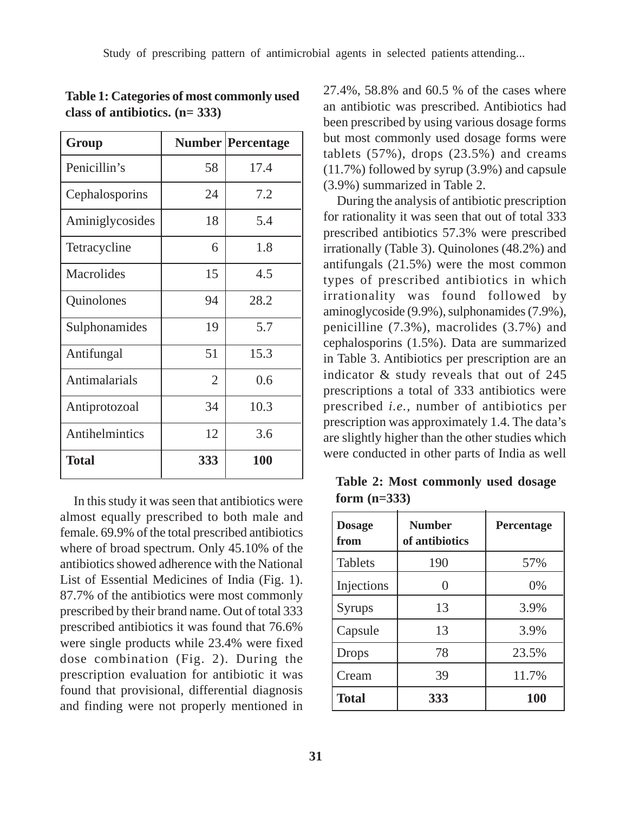| Group                 |     | <b>Number Percentage</b> |
|-----------------------|-----|--------------------------|
| Penicillin's          | 58  | 17.4                     |
| Cephalosporins        | 24  | 7.2                      |
| Aminiglycosides       | 18  | 5.4                      |
| Tetracycline          | 6   | 1.8                      |
| Macrolides            | 15  | 4.5                      |
| Quinolones            | 94  | 28.2                     |
| Sulphonamides         | 19  | 5.7                      |
| Antifungal            | 51  | 15.3                     |
| Antimalarials         | 2   | 0.6                      |
| Antiprotozoal         | 34  | 10.3                     |
| <b>Antihelmintics</b> | 12  | 3.6                      |
| Total                 | 333 | 100                      |

**Table 1: Categories of most commonly used class of antibiotics. (n= 333)**

In this study it was seen that antibiotics were almost equally prescribed to both male and female. 69.9% of the total prescribed antibiotics where of broad spectrum. Only 45.10% of the antibiotics showed adherence with the National List of Essential Medicines of India (Fig. 1). 87.7% of the antibiotics were most commonly prescribed by their brand name. Out of total 333 prescribed antibiotics it was found that 76.6% were single products while 23.4% were fixed dose combination (Fig. 2). During the prescription evaluation for antibiotic it was found that provisional, differential diagnosis and finding were not properly mentioned in

27.4%, 58.8% and 60.5 % of the cases where an antibiotic was prescribed. Antibiotics had been prescribed by using various dosage forms but most commonly used dosage forms were tablets  $(57\%)$ , drops  $(23.5\%)$  and creams (11.7%) followed by syrup (3.9%) and capsule (3.9%) summarized in Table 2.

During the analysis of antibiotic prescription for rationality it was seen that out of total 333 prescribed antibiotics 57.3% were prescribed irrationally (Table 3). Quinolones (48.2%) and antifungals (21.5%) were the most common types of prescribed antibiotics in which irrationality was found followed by aminoglycoside (9.9%), sulphonamides (7.9%), penicilline (7.3%), macrolides (3.7%) and cephalosporins (1.5%). Data are summarized in Table 3. Antibiotics per prescription are an indicator & study reveals that out of 245 prescriptions a total of 333 antibiotics were prescribed *i.e.,* number of antibiotics per prescription was approximately 1.4. The data's are slightly higher than the other studies which were conducted in other parts of India as well

**Table 2: Most commonly used dosage form (n=333)**

| <b>Dosage</b><br>from | <b>Number</b><br>of antibiotics | <b>Percentage</b> |
|-----------------------|---------------------------------|-------------------|
| <b>Tablets</b>        | 190                             | 57%               |
| Injections            |                                 | $0\%$             |
| Syrups                | 13                              | 3.9%              |
| Capsule               | 13                              | 3.9%              |
| <b>Drops</b>          | 78                              | 23.5%             |
| Cream                 | 39                              | 11.7%             |
| <b>Total</b>          | 333                             | <b>100</b>        |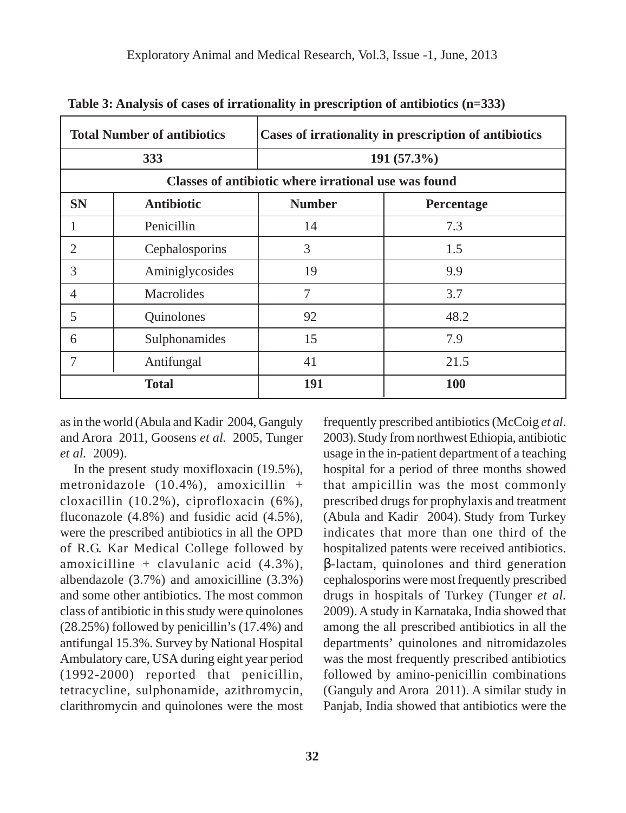|                                                      | <b>Total Number of antibiotics</b> |               | Cases of irrationality in prescription of antibiotics |  |  |
|------------------------------------------------------|------------------------------------|---------------|-------------------------------------------------------|--|--|
| 333                                                  |                                    | $191(57.3\%)$ |                                                       |  |  |
| Classes of antibiotic where irrational use was found |                                    |               |                                                       |  |  |
| <b>SN</b>                                            | <b>Antibiotic</b>                  | <b>Number</b> | Percentage                                            |  |  |
|                                                      | Penicillin                         | 14            | 7.3                                                   |  |  |
| 2                                                    | Cephalosporins                     | 3             | 1.5                                                   |  |  |
| 3                                                    | Aminiglycosides                    | 19            | 9.9                                                   |  |  |
| $\overline{4}$                                       | <b>Macrolides</b>                  | 7             | 3.7                                                   |  |  |
| 5                                                    | Quinolones                         | 92            | 48.2                                                  |  |  |
| 6                                                    | Sulphonamides                      | 15            | 7.9                                                   |  |  |
| 7                                                    | Antifungal                         | 41            | 21.5                                                  |  |  |
| <b>Total</b>                                         |                                    | 191           | 100                                                   |  |  |

**Table 3: Analysis of cases of irrationality in prescription of antibiotics (n=333)**

as in the world (Abula and Kadir 2004, Ganguly and Arora 2011, Goosens *et al.* 2005, Tunger *et al.* 2009).

In the present study moxifloxacin (19.5%), metronidazole (10.4%), amoxicillin + cloxacillin (10.2%), ciprofloxacin (6%), fluconazole (4.8%) and fusidic acid (4.5%), were the prescribed antibiotics in all the OPD of R.G. Kar Medical College followed by amoxicilline + clavulanic acid  $(4.3\%)$ , albendazole (3.7%) and amoxicilline (3.3%) and some other antibiotics. The most common class of antibiotic in this study were quinolones (28.25%) followed by penicillin's (17.4%) and antifungal 15.3%. Survey by National Hospital Ambulatory care, USA during eight year period (1992-2000) reported that penicillin, tetracycline, sulphonamide, azithromycin, clarithromycin and quinolones were the most

frequently prescribed antibiotics (McCoig *et al*. 2003).Study from northwest Ethiopia, antibiotic usage in the in-patient department of a teaching hospital for a period of three months showed that ampicillin was the most commonly prescribed drugs for prophylaxis and treatment (Abula and Kadir 2004). Study from Turkey indicates that more than one third of the hospitalized patents were received antibiotics. β-lactam, quinolones and third generation cephalosporins were most frequently prescribed drugs in hospitals of Turkey (Tunger *et al.* 2009). A study in Karnataka, India showed that among the all prescribed antibiotics in all the departments' quinolones and nitromidazoles was the most frequently prescribed antibiotics followed by amino-penicillin combinations (Ganguly and Arora 2011). A similar study in Panjab, India showed that antibiotics were the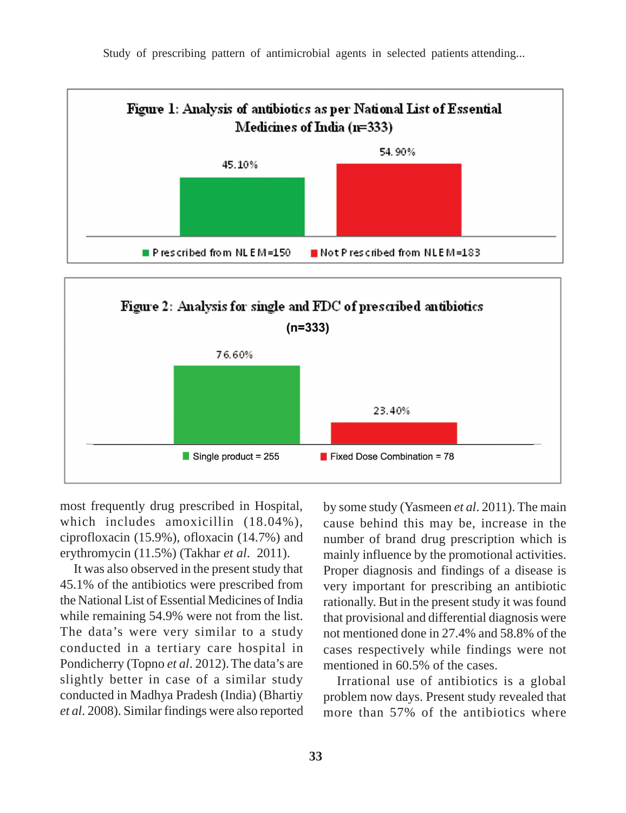Figure 1: Analysis of antibiotics as per National List of Essential Medicines of India (n=333) 54.90% 45.10%

Not P rescribed from NLE M=183

Study of prescribing pattern of antimicrobial agents in selected patients attending...



most frequently drug prescribed in Hospital, which includes amoxicillin (18.04%), ciprofloxacin (15.9%), ofloxacin (14.7%) and erythromycin (11.5%) (Takhar *et al*. 2011).

Prescribed from NLEM=150

It was also observed in the present study that 45.1% of the antibiotics were prescribed from the National List of Essential Medicines of India while remaining 54.9% were not from the list. The data's were very similar to a study conducted in a tertiary care hospital in Pondicherry (Topno *et al.* 2012). The data's are slightly better in case of a similar study conducted in Madhya Pradesh (India) (Bhartiy *et al*. 2008). Similar findings were also reported by some study (Yasmeen *et al*. 2011). The main cause behind this may be, increase in the number of brand drug prescription which is mainly influence by the promotional activities. Proper diagnosis and findings of a disease is very important for prescribing an antibiotic rationally. But in the present study it was found that provisional and differential diagnosis were not mentioned done in 27.4% and 58.8% of the cases respectively while findings were not mentioned in 60.5% of the cases.

Irrational use of antibiotics is a global problem now days. Present study revealed that more than 57% of the antibiotics where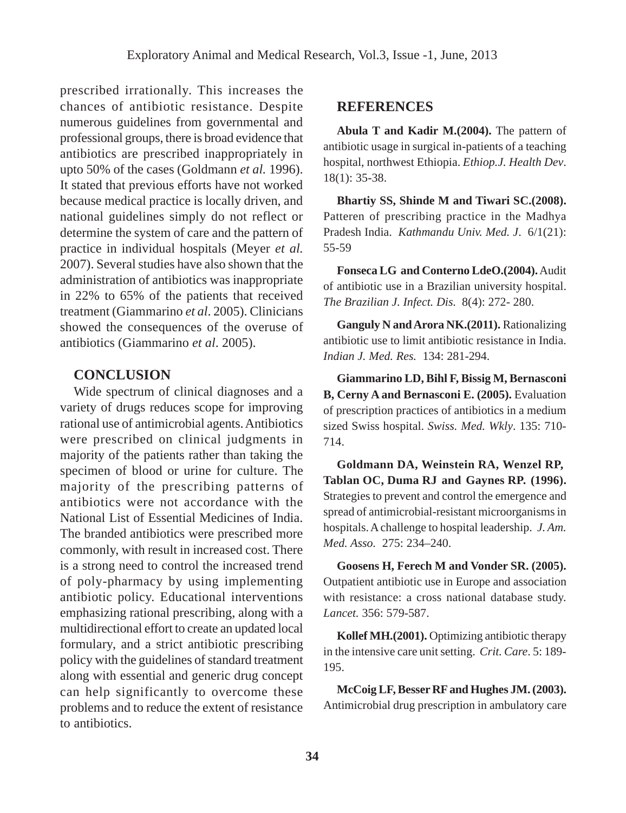prescribed irrationally. This increases the chances of antibiotic resistance. Despite numerous guidelines from governmental and professional groups, there is broad evidence that antibiotics are prescribed inappropriately in upto 50% of the cases (Goldmann *et al.* 1996). It stated that previous efforts have not worked because medical practice is locally driven, and national guidelines simply do not reflect or determine the system of care and the pattern of practice in individual hospitals (Meyer *et al.* 2007). Several studies have also shown that the administration of antibiotics was inappropriate in 22% to 65% of the patients that received treatment (Giammarino *et al*. 2005). Clinicians showed the consequences of the overuse of antibiotics (Giammarino *et al*. 2005).

## **CONCLUSION**

Wide spectrum of clinical diagnoses and a variety of drugs reduces scope for improving rational use of antimicrobial agents. Antibiotics were prescribed on clinical judgments in majority of the patients rather than taking the specimen of blood or urine for culture. The majority of the prescribing patterns of antibiotics were not accordance with the National List of Essential Medicines of India. The branded antibiotics were prescribed more commonly, with result in increased cost. There is a strong need to control the increased trend of poly-pharmacy by using implementing antibiotic policy. Educational interventions emphasizing rational prescribing, along with a multidirectional effort to create an updated local formulary, and a strict antibiotic prescribing policy with the guidelines of standard treatment along with essential and generic drug concept can help significantly to overcome these problems and to reduce the extent of resistance to antibiotics.

#### **REFERENCES**

**Abula T and Kadir M.(2004).** The pattern of antibiotic usage in surgical in-patients of a teaching hospital, northwest Ethiopia. *Ethiop.J. Health Dev*. 18(1): 35-38.

**Bhartiy SS, Shinde M and Tiwari SC.(2008).** Patteren of prescribing practice in the Madhya Pradesh India. *Kathmandu Univ. Med. J*. 6/1(21): 55-59

**Fonseca LG and Conterno LdeO.(2004).** Audit of antibiotic use in a Brazilian university hospital. *The Brazilian J. Infect. Dis.* 8(4): 272- 280.

**Ganguly N and Arora NK.(2011).** Rationalizing antibiotic use to limit antibiotic resistance in India. *Indian J. Med. Res.* 134: 281-294.

**Giammarino LD, Bihl F, Bissig M, Bernasconi B, Cerny A and Bernasconi E. (2005).** Evaluation of prescription practices of antibiotics in a medium sized Swiss hospital. *Swiss. Med. Wkly*. 135: 710- 714.

**Goldmann DA, Weinstein RA, Wenzel RP, Tablan OC, Duma RJ and Gaynes RP. (1996).** Strategies to prevent and control the emergence and spread of antimicrobial-resistant microorganisms in hospitals. A challenge to hospital leadership. *J. Am. Med. Asso.* 275: 234–240.

**Goosens H, Ferech M and Vonder SR. (2005).** Outpatient antibiotic use in Europe and association with resistance: a cross national database study. *Lancet.* 356: 579-587.

**Kollef MH.(2001).** Optimizing antibiotic therapy in the intensive care unit setting. *Crit. Care*. 5: 189- 195.

**McCoig LF, Besser RF and Hughes JM. (2003).** Antimicrobial drug prescription in ambulatory care